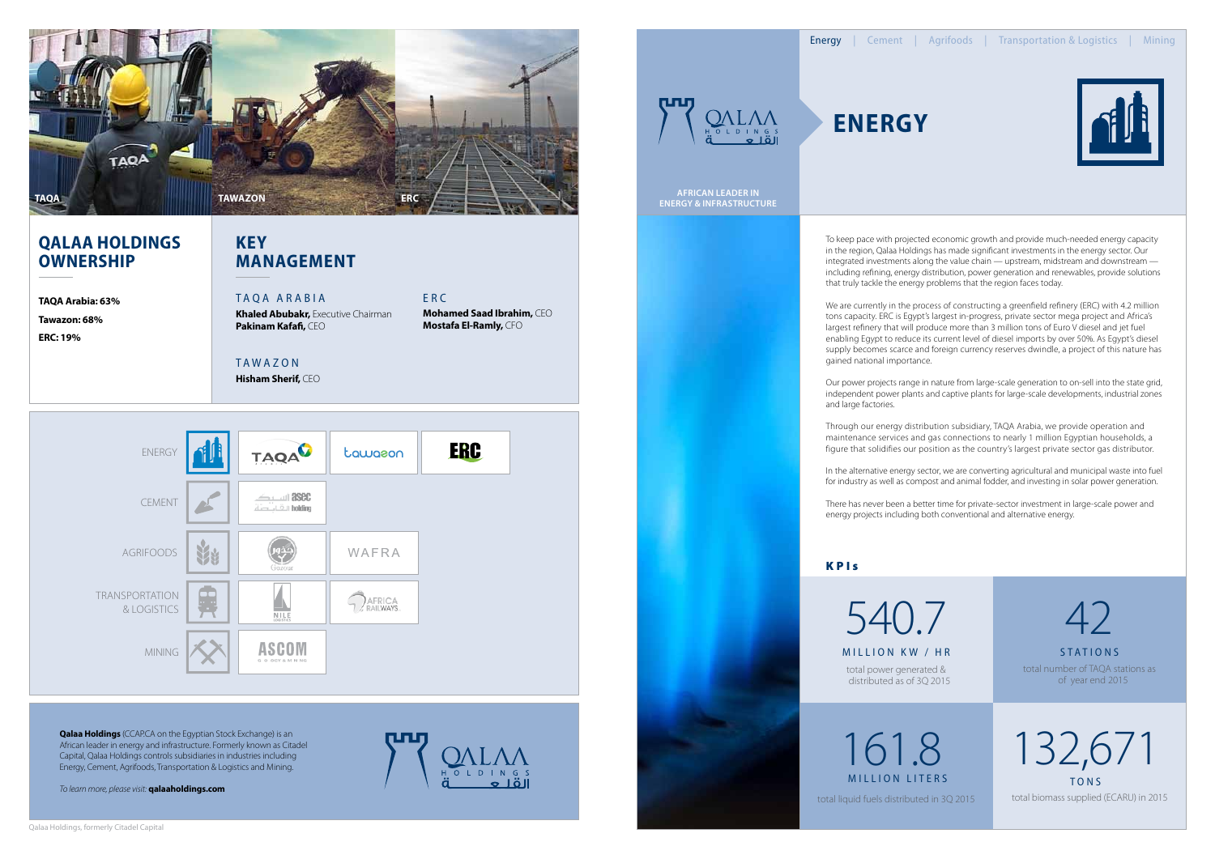To keep pace with projected economic growth and provide much-needed energy capacity in the region, Qalaa Holdings has made significant investments in the energy sector. Our integrated investments along the value chain — upstream, midstream and downstream including refining, energy distribution, power generation and renewables, provide solutions that truly tackle the energy problems that the region faces today.

We are currently in the process of constructing a greenfield refinery (ERC) with 4.2 million tons capacity. ERC is Egypt's largest in-progress, private sector mega project and Africa's largest refinery that will produce more than 3 million tons of Euro V diesel and jet fuel enabling Egypt to reduce its current level of diesel imports by over 50%. As Egypt's diesel supply becomes scarce and foreign currency reserves dwindle, a project of this nature has gained national importance.

**TAWAZON Hisham Sherif,** CEO

Our power projects range in nature from large-scale generation to on-sell into the state grid, independent power plants and captive plants for large-scale developments, industrial zones

161.8 total liquid fuels distributed in 3Q 2015 **MILLION LITERS** 

and large factories.

Through our energy distribution subsidiary, TAQA Arabia, we provide operation and maintenance services and gas connections to nearly 1 million Egyptian households, a figure that solidifies our position as the country's largest private sector gas distributor.

In the alternative energy sector, we are converting agricultural and municipal waste into fuel for industry as well as compost and animal fodder, and investing in solar power generation.

There has never been a better time for private-sector investment in large-scale power and energy projects including both conventional and alternative energy.

#### **KPIs**

### **Key Management**

#### TAOA ARABIA

## **Qalaa Holdings Ownership**

**Khaled Abubakr,** Executive Chairman **Pakinam Kafafi,** CEO

E R C **Mohamed Saad Ibrahim,** CEO **Mostafa El-Ramly,** CFO



distributed as of 3Q 2015

42

total number of TAQA stations as of year end 2015

**STATIONS** 

t ons 132,671

total biomass supplied (ECARU) in 2015

**TAQA Arabia: 63% Tawazon: 68%**

**ERC: 19%**

**African Leader in energy & Infrastructure**





**Qalaa Holdings** (CCAP.CA on the Egyptian Stock Exchange) is an African leader in energy and infrastructure. Formerly known as Citadel Capital, Qalaa Holdings controls subsidiaries in industries including Energy, Cement, Agrifoods, Transportation & Logistics and Mining.

*To learn more, please visit:* **qalaaholdings.com**



# **ENERGY**